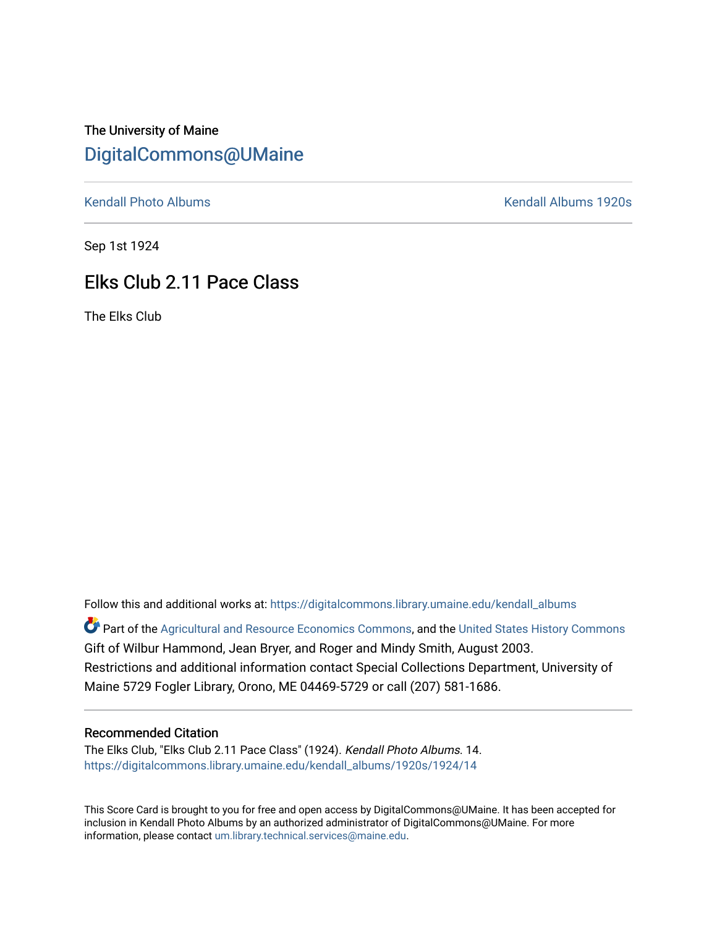## The University of Maine [DigitalCommons@UMaine](https://digitalcommons.library.umaine.edu/)

[Kendall Photo Albums](https://digitalcommons.library.umaine.edu/kendall_albums) **Kendall Albums 1920s** 

Sep 1st 1924

## Elks Club 2.11 Pace Class

The Elks Club

Follow this and additional works at: [https://digitalcommons.library.umaine.edu/kendall\\_albums](https://digitalcommons.library.umaine.edu/kendall_albums?utm_source=digitalcommons.library.umaine.edu%2Fkendall_albums%2F1920s%2F1924%2F14&utm_medium=PDF&utm_campaign=PDFCoverPages)  Part of the [Agricultural and Resource Economics Commons,](http://network.bepress.com/hgg/discipline/317?utm_source=digitalcommons.library.umaine.edu%2Fkendall_albums%2F1920s%2F1924%2F14&utm_medium=PDF&utm_campaign=PDFCoverPages) and the [United States History Commons](http://network.bepress.com/hgg/discipline/495?utm_source=digitalcommons.library.umaine.edu%2Fkendall_albums%2F1920s%2F1924%2F14&utm_medium=PDF&utm_campaign=PDFCoverPages) Gift of Wilbur Hammond, Jean Bryer, and Roger and Mindy Smith, August 2003. Restrictions and additional information contact Special Collections Department, University of

Maine 5729 Fogler Library, Orono, ME 04469-5729 or call (207) 581-1686.

## Recommended Citation

The Elks Club, "Elks Club 2.11 Pace Class" (1924). Kendall Photo Albums. 14. [https://digitalcommons.library.umaine.edu/kendall\\_albums/1920s/1924/14](https://digitalcommons.library.umaine.edu/kendall_albums/1920s/1924/14?utm_source=digitalcommons.library.umaine.edu%2Fkendall_albums%2F1920s%2F1924%2F14&utm_medium=PDF&utm_campaign=PDFCoverPages)

This Score Card is brought to you for free and open access by DigitalCommons@UMaine. It has been accepted for inclusion in Kendall Photo Albums by an authorized administrator of DigitalCommons@UMaine. For more information, please contact [um.library.technical.services@maine.edu](mailto:um.library.technical.services@maine.edu).